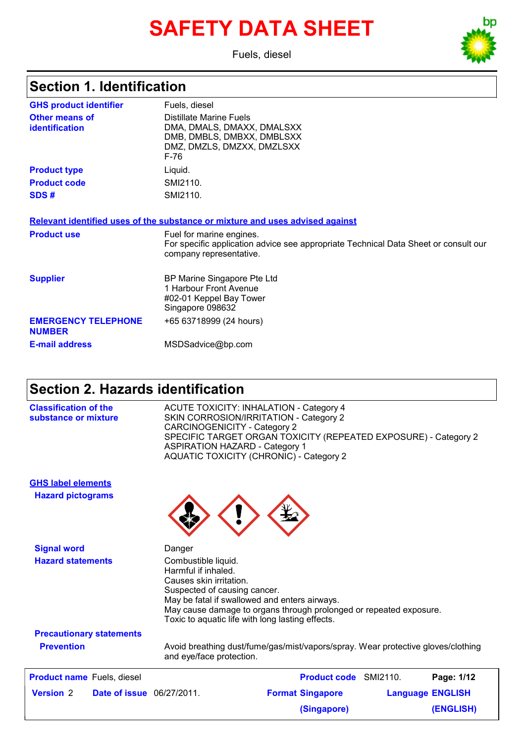# **SAFETY DATA SHEET**

Fuels, diesel

### **Section 1. Identification**

| <b>GHS product identifier</b>               | Fuels, diesel                                                                                                                              |
|---------------------------------------------|--------------------------------------------------------------------------------------------------------------------------------------------|
| <b>Other means of</b><br>identification     | Distillate Marine Fuels<br>DMA, DMALS, DMAXX, DMALSXX<br>DMB, DMBLS, DMBXX, DMBLSXX<br>DMZ, DMZLS, DMZXX, DMZLSXX<br>F-76                  |
| <b>Product type</b>                         | Liquid.                                                                                                                                    |
| <b>Product code</b>                         | SMI2110.                                                                                                                                   |
| SDS#                                        | SMI2110.                                                                                                                                   |
|                                             | Relevant identified uses of the substance or mixture and uses advised against                                                              |
| <b>Product use</b>                          | Fuel for marine engines.<br>For specific application advice see appropriate Technical Data Sheet or consult our<br>company representative. |
| <b>Supplier</b>                             | BP Marine Singapore Pte Ltd<br>1 Harbour Front Avenue<br>#02-01 Keppel Bay Tower<br>Singapore 098632                                       |
| <b>EMERGENCY TELEPHONE</b><br><b>NUMBER</b> | +65 63718999 (24 hours)                                                                                                                    |
| <b>E-mail address</b>                       | MSDSadvice@bp.com                                                                                                                          |

### **Section 2. Hazards identification**

| <b>Classification of the</b> | <b>ACUTE TOXICITY: INHALATION - Category 4</b>                  |
|------------------------------|-----------------------------------------------------------------|
| substance or mixture         | SKIN CORROSION/IRRITATION - Category 2                          |
|                              | CARCINOGENICITY - Category 2                                    |
|                              | SPECIFIC TARGET ORGAN TOXICITY (REPEATED EXPOSURE) - Category 2 |
|                              | ASPIRATION HAZARD - Category 1                                  |
|                              | <b>AQUATIC TOXICITY (CHRONIC) - Category 2</b>                  |

**Hazard pictograms GHS label elements**



| <b>Product name</b> Fuels, diesel |                                  | <b>Product code</b> SMI2110. |                         | Page: 1/12 |
|-----------------------------------|----------------------------------|------------------------------|-------------------------|------------|
| <b>Version 2</b>                  | <b>Date of issue</b> 06/27/2011. | <b>Format Singapore</b>      | <b>Language ENGLISH</b> |            |
|                                   |                                  | (Singapore)                  |                         | (ENGLISH)  |

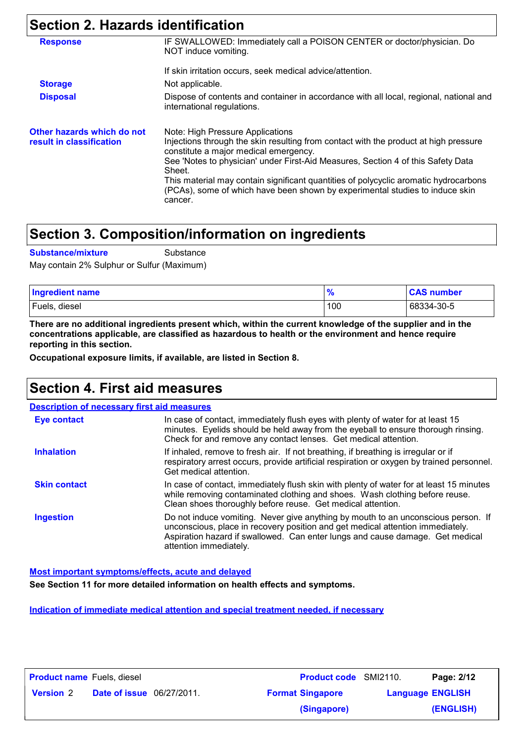## **Section 2. Hazards identification**

| <b>Response</b>                                        | IF SWALLOWED: Immediately call a POISON CENTER or doctor/physician. Do<br>NOT induce vomiting.                                                                                  |
|--------------------------------------------------------|---------------------------------------------------------------------------------------------------------------------------------------------------------------------------------|
|                                                        | If skin irritation occurs, seek medical advice/attention.                                                                                                                       |
| <b>Storage</b>                                         | Not applicable.                                                                                                                                                                 |
| <b>Disposal</b>                                        | Dispose of contents and container in accordance with all local, regional, national and<br>international regulations.                                                            |
| Other hazards which do not<br>result in classification | Note: High Pressure Applications<br>Injections through the skin resulting from contact with the product at high pressure<br>constitute a major medical emergency.               |
|                                                        | See 'Notes to physician' under First-Aid Measures, Section 4 of this Safety Data<br>Sheet.                                                                                      |
|                                                        | This material may contain significant quantities of polycyclic aromatic hydrocarbons<br>(PCAs), some of which have been shown by experimental studies to induce skin<br>cancer. |

## **Section 3. Composition/information on ingredients**

**Substance/mixture**

**Substance** 

May contain 2% Sulphur or Sulfur (Maximum)

| <b>Ingredient name</b> |     | <b>CAS number</b> |
|------------------------|-----|-------------------|
| Fuels, diesel          | 100 | 68334-30-5        |

**There are no additional ingredients present which, within the current knowledge of the supplier and in the concentrations applicable, are classified as hazardous to health or the environment and hence require reporting in this section.**

**Occupational exposure limits, if available, are listed in Section 8.**

## **Section 4. First aid measures**

| <b>Description of necessary first aid measures</b>                                                                                                                                                                                                                             |
|--------------------------------------------------------------------------------------------------------------------------------------------------------------------------------------------------------------------------------------------------------------------------------|
| In case of contact, immediately flush eyes with plenty of water for at least 15<br>minutes. Eyelids should be held away from the eyeball to ensure thorough rinsing.<br>Check for and remove any contact lenses. Get medical attention.                                        |
| If inhaled, remove to fresh air. If not breathing, if breathing is irregular or if<br>respiratory arrest occurs, provide artificial respiration or oxygen by trained personnel.<br>Get medical attention.                                                                      |
| In case of contact, immediately flush skin with plenty of water for at least 15 minutes<br>while removing contaminated clothing and shoes. Wash clothing before reuse.<br>Clean shoes thoroughly before reuse. Get medical attention.                                          |
| Do not induce vomiting. Never give anything by mouth to an unconscious person. If<br>unconscious, place in recovery position and get medical attention immediately.<br>Aspiration hazard if swallowed. Can enter lungs and cause damage. Get medical<br>attention immediately. |
|                                                                                                                                                                                                                                                                                |

**Most important symptoms/effects, acute and delayed**

**See Section 11 for more detailed information on health effects and symptoms.**

**Indication of immediate medical attention and special treatment needed, if necessary**

| <b>Product name</b> Fuels, diesel |                                  | <b>Product code</b> SMI2110. |                         | Page: 2/12 |
|-----------------------------------|----------------------------------|------------------------------|-------------------------|------------|
| <b>Version 2</b>                  | <b>Date of issue</b> 06/27/2011. | <b>Format Singapore</b>      | <b>Language ENGLISH</b> |            |
|                                   |                                  | (Singapore)                  |                         | (ENGLISH)  |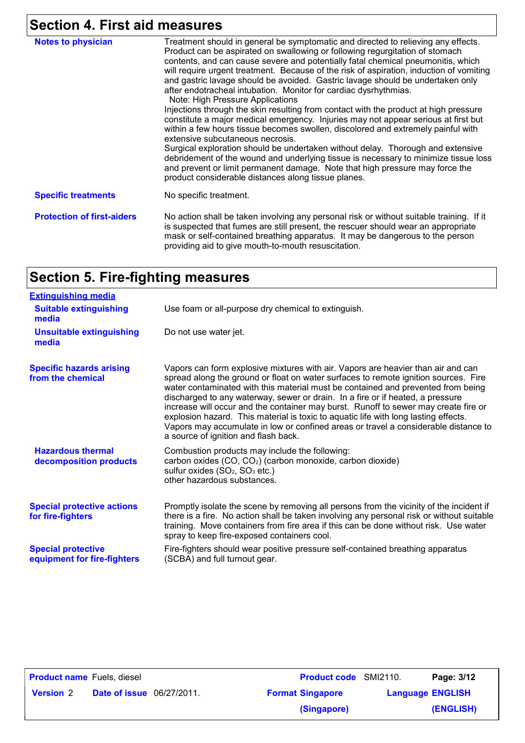## **Section 4. First aid measures**

| <b>Notes to physician</b>         | Treatment should in general be symptomatic and directed to relieving any effects.<br>Product can be aspirated on swallowing or following regurgitation of stomach<br>contents, and can cause severe and potentially fatal chemical pneumonitis, which<br>will require urgent treatment. Because of the risk of aspiration, induction of vomiting<br>and gastric lavage should be avoided. Gastric lavage should be undertaken only<br>after endotracheal intubation. Monitor for cardiac dysrhythmias.<br>Note: High Pressure Applications<br>Injections through the skin resulting from contact with the product at high pressure<br>constitute a major medical emergency. Injuries may not appear serious at first but<br>within a few hours tissue becomes swollen, discolored and extremely painful with<br>extensive subcutaneous necrosis.<br>Surgical exploration should be undertaken without delay. Thorough and extensive<br>debridement of the wound and underlying tissue is necessary to minimize tissue loss<br>and prevent or limit permanent damage. Note that high pressure may force the<br>product considerable distances along tissue planes. |
|-----------------------------------|-------------------------------------------------------------------------------------------------------------------------------------------------------------------------------------------------------------------------------------------------------------------------------------------------------------------------------------------------------------------------------------------------------------------------------------------------------------------------------------------------------------------------------------------------------------------------------------------------------------------------------------------------------------------------------------------------------------------------------------------------------------------------------------------------------------------------------------------------------------------------------------------------------------------------------------------------------------------------------------------------------------------------------------------------------------------------------------------------------------------------------------------------------------------|
| <b>Specific treatments</b>        | No specific treatment.                                                                                                                                                                                                                                                                                                                                                                                                                                                                                                                                                                                                                                                                                                                                                                                                                                                                                                                                                                                                                                                                                                                                            |
| <b>Protection of first-aiders</b> | No action shall be taken involving any personal risk or without suitable training. If it<br>is suspected that fumes are still present, the rescuer should wear an appropriate<br>mask or self-contained breathing apparatus. It may be dangerous to the person<br>providing aid to give mouth-to-mouth resuscitation.                                                                                                                                                                                                                                                                                                                                                                                                                                                                                                                                                                                                                                                                                                                                                                                                                                             |

## **Section 5. Fire-fighting measures**

| <b>Extinguishing media</b>                               |                                                                                                                                                                                                                                                                                                                                                                                                                                                                                                                                                                                                                                                            |
|----------------------------------------------------------|------------------------------------------------------------------------------------------------------------------------------------------------------------------------------------------------------------------------------------------------------------------------------------------------------------------------------------------------------------------------------------------------------------------------------------------------------------------------------------------------------------------------------------------------------------------------------------------------------------------------------------------------------------|
| <b>Suitable extinguishing</b><br>media                   | Use foam or all-purpose dry chemical to extinguish.                                                                                                                                                                                                                                                                                                                                                                                                                                                                                                                                                                                                        |
| <b>Unsuitable extinguishing</b><br>media                 | Do not use water jet.                                                                                                                                                                                                                                                                                                                                                                                                                                                                                                                                                                                                                                      |
| <b>Specific hazards arising</b><br>from the chemical     | Vapors can form explosive mixtures with air. Vapors are heavier than air and can<br>spread along the ground or float on water surfaces to remote ignition sources. Fire<br>water contaminated with this material must be contained and prevented from being<br>discharged to any waterway, sewer or drain. In a fire or if heated, a pressure<br>increase will occur and the container may burst. Runoff to sewer may create fire or<br>explosion hazard. This material is toxic to aquatic life with long lasting effects.<br>Vapors may accumulate in low or confined areas or travel a considerable distance to<br>a source of ignition and flash back. |
| <b>Hazardous thermal</b><br>decomposition products       | Combustion products may include the following:<br>carbon oxides (CO, CO <sub>2</sub> ) (carbon monoxide, carbon dioxide)<br>sulfur oxides $(SO2, SO3 etc.)$<br>other hazardous substances.                                                                                                                                                                                                                                                                                                                                                                                                                                                                 |
| <b>Special protective actions</b><br>for fire-fighters   | Promptly isolate the scene by removing all persons from the vicinity of the incident if<br>there is a fire. No action shall be taken involving any personal risk or without suitable<br>training. Move containers from fire area if this can be done without risk. Use water<br>spray to keep fire-exposed containers cool.                                                                                                                                                                                                                                                                                                                                |
| <b>Special protective</b><br>equipment for fire-fighters | Fire-fighters should wear positive pressure self-contained breathing apparatus<br>(SCBA) and full turnout gear.                                                                                                                                                                                                                                                                                                                                                                                                                                                                                                                                            |

| <b>Product name</b> Fuels, diesel |                                  | <b>Product code</b> SMI2110. |                         | Page: 3/12 |
|-----------------------------------|----------------------------------|------------------------------|-------------------------|------------|
| <b>Version 2</b>                  | <b>Date of issue</b> 06/27/2011. | <b>Format Singapore</b>      | <b>Language ENGLISH</b> |            |
|                                   |                                  | (Singapore)                  |                         | (ENGLISH)  |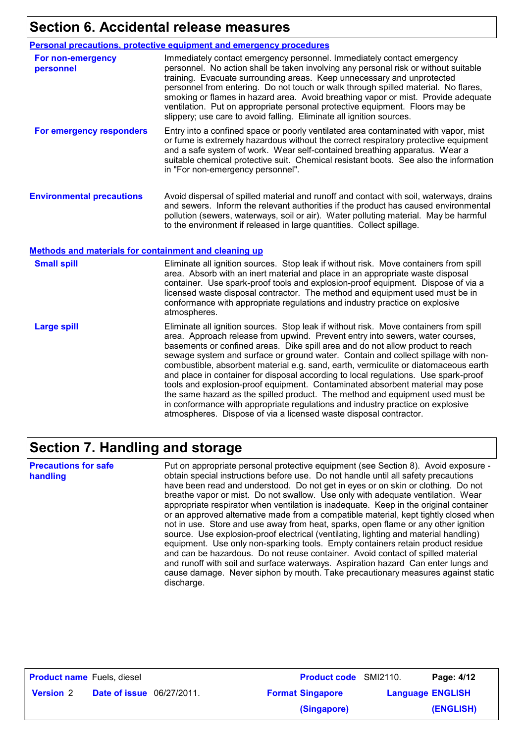## **Section 6. Accidental release measures**

#### **Personal precautions, protective equipment and emergency procedures**

| For non-emergency<br>personnel                        | Immediately contact emergency personnel. Immediately contact emergency<br>personnel. No action shall be taken involving any personal risk or without suitable<br>training. Evacuate surrounding areas. Keep unnecessary and unprotected<br>personnel from entering. Do not touch or walk through spilled material. No flares,<br>smoking or flames in hazard area. Avoid breathing vapor or mist. Provide adequate<br>ventilation. Put on appropriate personal protective equipment. Floors may be<br>slippery; use care to avoid falling. Eliminate all ignition sources. |
|-------------------------------------------------------|----------------------------------------------------------------------------------------------------------------------------------------------------------------------------------------------------------------------------------------------------------------------------------------------------------------------------------------------------------------------------------------------------------------------------------------------------------------------------------------------------------------------------------------------------------------------------|
| For emergency responders                              | Entry into a confined space or poorly ventilated area contaminated with vapor, mist<br>or fume is extremely hazardous without the correct respiratory protective equipment<br>and a safe system of work. Wear self-contained breathing apparatus. Wear a<br>suitable chemical protective suit. Chemical resistant boots. See also the information<br>in "For non-emergency personnel".                                                                                                                                                                                     |
| <b>Environmental precautions</b>                      | Avoid dispersal of spilled material and runoff and contact with soil, waterways, drains<br>and sewers. Inform the relevant authorities if the product has caused environmental<br>pollution (sewers, waterways, soil or air). Water polluting material. May be harmful<br>to the environment if released in large quantities. Collect spillage.                                                                                                                                                                                                                            |
| Methods and materials for containment and cleaning up |                                                                                                                                                                                                                                                                                                                                                                                                                                                                                                                                                                            |
| <b>Small spill</b>                                    | Eliminate all ignition sources. Stop leak if without risk. Move containers from spill<br>area. Absorb with an inert material and place in an appropriate waste disposal                                                                                                                                                                                                                                                                                                                                                                                                    |

|                    | licensed waste disposal contractor. The method and equipment used must be in<br>conformance with appropriate regulations and industry practice on explosive<br>atmospheres.                                                                                                                                                                                                                                                                                                                                                                                                                                                                                                                                                                                                                                                                          |
|--------------------|------------------------------------------------------------------------------------------------------------------------------------------------------------------------------------------------------------------------------------------------------------------------------------------------------------------------------------------------------------------------------------------------------------------------------------------------------------------------------------------------------------------------------------------------------------------------------------------------------------------------------------------------------------------------------------------------------------------------------------------------------------------------------------------------------------------------------------------------------|
| <b>Large spill</b> | Eliminate all ignition sources. Stop leak if without risk. Move containers from spill<br>area. Approach release from upwind. Prevent entry into sewers, water courses,<br>basements or confined areas. Dike spill area and do not allow product to reach<br>sewage system and surface or ground water. Contain and collect spillage with non-<br>combustible, absorbent material e.g. sand, earth, vermiculite or diatomaceous earth<br>and place in container for disposal according to local regulations. Use spark-proof<br>tools and explosion-proof equipment. Contaminated absorbent material may pose<br>the same hazard as the spilled product. The method and equipment used must be<br>in conformance with appropriate regulations and industry practice on explosive<br>atmospheres. Dispose of via a licensed waste disposal contractor. |

container. Use spark-proof tools and explosion-proof equipment. Dispose of via a

### **Section 7. Handling and storage**

**Precautions for safe handling** Put on appropriate personal protective equipment (see Section 8). Avoid exposure obtain special instructions before use. Do not handle until all safety precautions have been read and understood. Do not get in eyes or on skin or clothing. Do not breathe vapor or mist. Do not swallow. Use only with adequate ventilation. Wear appropriate respirator when ventilation is inadequate. Keep in the original container or an approved alternative made from a compatible material, kept tightly closed when not in use. Store and use away from heat, sparks, open flame or any other ignition source. Use explosion-proof electrical (ventilating, lighting and material handling) equipment. Use only non-sparking tools. Empty containers retain product residue and can be hazardous. Do not reuse container. Avoid contact of spilled material and runoff with soil and surface waterways. Aspiration hazard Can enter lungs and cause damage. Never siphon by mouth. Take precautionary measures against static discharge.

| <b>Product name</b> Fuels, diesel                    |  | <b>Product code</b> SMI2110. |                         | Page: 4/12 |
|------------------------------------------------------|--|------------------------------|-------------------------|------------|
| <b>Date of issue</b> 06/27/2011.<br><b>Version 2</b> |  | <b>Format Singapore</b>      | <b>Language ENGLISH</b> |            |
|                                                      |  | (Singapore)                  |                         | (ENGLISH)  |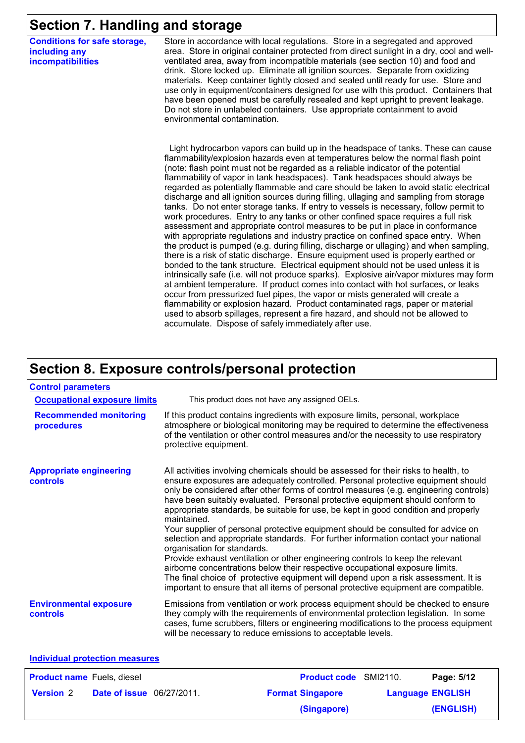### **Section 7. Handling and storage**

**Conditions for safe storage, including any incompatibilities**

Store in accordance with local regulations. Store in a segregated and approved area. Store in original container protected from direct sunlight in a dry, cool and wellventilated area, away from incompatible materials (see section 10) and food and drink. Store locked up. Eliminate all ignition sources. Separate from oxidizing materials. Keep container tightly closed and sealed until ready for use. Store and use only in equipment/containers designed for use with this product. Containers that have been opened must be carefully resealed and kept upright to prevent leakage. Do not store in unlabeled containers. Use appropriate containment to avoid environmental contamination.

 Light hydrocarbon vapors can build up in the headspace of tanks. These can cause flammability/explosion hazards even at temperatures below the normal flash point (note: flash point must not be regarded as a reliable indicator of the potential flammability of vapor in tank headspaces). Tank headspaces should always be regarded as potentially flammable and care should be taken to avoid static electrical discharge and all ignition sources during filling, ullaging and sampling from storage tanks. Do not enter storage tanks. If entry to vessels is necessary, follow permit to work procedures. Entry to any tanks or other confined space requires a full risk assessment and appropriate control measures to be put in place in conformance with appropriate regulations and industry practice on confined space entry. When the product is pumped (e.g. during filling, discharge or ullaging) and when sampling, there is a risk of static discharge. Ensure equipment used is properly earthed or bonded to the tank structure. Electrical equipment should not be used unless it is intrinsically safe (i.e. will not produce sparks). Explosive air/vapor mixtures may form at ambient temperature. If product comes into contact with hot surfaces, or leaks occur from pressurized fuel pipes, the vapor or mists generated will create a flammability or explosion hazard. Product contaminated rags, paper or material used to absorb spillages, represent a fire hazard, and should not be allowed to accumulate. Dispose of safely immediately after use.

### **Section 8. Exposure controls/personal protection**

| <b>Control parameters</b>                         |                                                                                                                                                                                                                                                                                                                                                                                                                                                                                                                                                                                                                                                                                                                                                                                                                                                                                                                                                                                                               |
|---------------------------------------------------|---------------------------------------------------------------------------------------------------------------------------------------------------------------------------------------------------------------------------------------------------------------------------------------------------------------------------------------------------------------------------------------------------------------------------------------------------------------------------------------------------------------------------------------------------------------------------------------------------------------------------------------------------------------------------------------------------------------------------------------------------------------------------------------------------------------------------------------------------------------------------------------------------------------------------------------------------------------------------------------------------------------|
| <b>Occupational exposure limits</b>               | This product does not have any assigned OELs.                                                                                                                                                                                                                                                                                                                                                                                                                                                                                                                                                                                                                                                                                                                                                                                                                                                                                                                                                                 |
| <b>Recommended monitoring</b><br>procedures       | If this product contains ingredients with exposure limits, personal, workplace<br>atmosphere or biological monitoring may be required to determine the effectiveness<br>of the ventilation or other control measures and/or the necessity to use respiratory<br>protective equipment.                                                                                                                                                                                                                                                                                                                                                                                                                                                                                                                                                                                                                                                                                                                         |
| <b>Appropriate engineering</b><br><b>controls</b> | All activities involving chemicals should be assessed for their risks to health, to<br>ensure exposures are adequately controlled. Personal protective equipment should<br>only be considered after other forms of control measures (e.g. engineering controls)<br>have been suitably evaluated. Personal protective equipment should conform to<br>appropriate standards, be suitable for use, be kept in good condition and properly<br>maintained.<br>Your supplier of personal protective equipment should be consulted for advice on<br>selection and appropriate standards. For further information contact your national<br>organisation for standards.<br>Provide exhaust ventilation or other engineering controls to keep the relevant<br>airborne concentrations below their respective occupational exposure limits.<br>The final choice of protective equipment will depend upon a risk assessment. It is<br>important to ensure that all items of personal protective equipment are compatible. |
| <b>Environmental exposure</b><br><b>controls</b>  | Emissions from ventilation or work process equipment should be checked to ensure<br>they comply with the requirements of environmental protection legislation. In some<br>cases, fume scrubbers, filters or engineering modifications to the process equipment<br>will be necessary to reduce emissions to acceptable levels.                                                                                                                                                                                                                                                                                                                                                                                                                                                                                                                                                                                                                                                                                 |

#### **Individual protection measures**

| <b>Product name</b> Fuels, diesel |                                  | <b>Product code</b> SMI2110. | Page: 5/12              |
|-----------------------------------|----------------------------------|------------------------------|-------------------------|
| <b>Version 2</b>                  | <b>Date of issue</b> 06/27/2011. | <b>Format Singapore</b>      | <b>Language ENGLISH</b> |
|                                   |                                  | (Singapore)                  | (ENGLISH)               |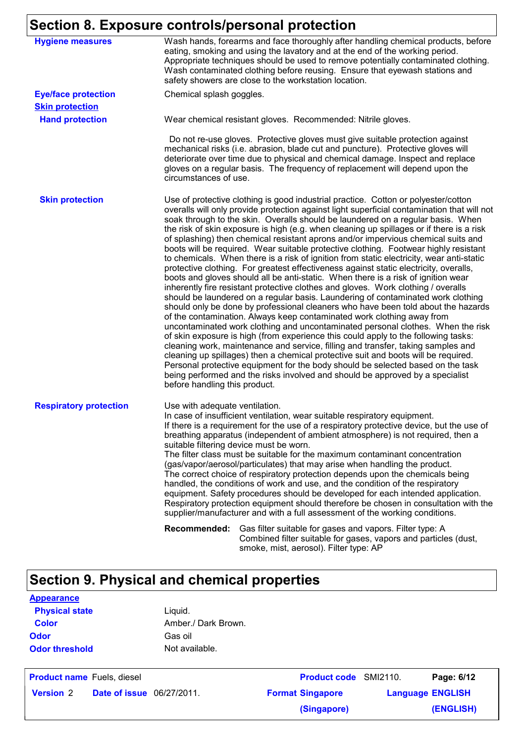## **Section 8. Exposure controls/personal protection**

| <b>Hygiene measures</b>       | Wash hands, forearms and face thoroughly after handling chemical products, before<br>eating, smoking and using the lavatory and at the end of the working period.<br>Appropriate techniques should be used to remove potentially contaminated clothing.<br>Wash contaminated clothing before reusing. Ensure that eyewash stations and<br>safety showers are close to the workstation location.                                                                                                                                                                                                                                                                                                                                                                                                                                                                                                                                                                                                                                                                                                                                                                                                                                                                                                                                                                                                                                                                                                                                                                                                                                                                                                                         |
|-------------------------------|-------------------------------------------------------------------------------------------------------------------------------------------------------------------------------------------------------------------------------------------------------------------------------------------------------------------------------------------------------------------------------------------------------------------------------------------------------------------------------------------------------------------------------------------------------------------------------------------------------------------------------------------------------------------------------------------------------------------------------------------------------------------------------------------------------------------------------------------------------------------------------------------------------------------------------------------------------------------------------------------------------------------------------------------------------------------------------------------------------------------------------------------------------------------------------------------------------------------------------------------------------------------------------------------------------------------------------------------------------------------------------------------------------------------------------------------------------------------------------------------------------------------------------------------------------------------------------------------------------------------------------------------------------------------------------------------------------------------------|
| <b>Eye/face protection</b>    | Chemical splash goggles.                                                                                                                                                                                                                                                                                                                                                                                                                                                                                                                                                                                                                                                                                                                                                                                                                                                                                                                                                                                                                                                                                                                                                                                                                                                                                                                                                                                                                                                                                                                                                                                                                                                                                                |
| <b>Skin protection</b>        |                                                                                                                                                                                                                                                                                                                                                                                                                                                                                                                                                                                                                                                                                                                                                                                                                                                                                                                                                                                                                                                                                                                                                                                                                                                                                                                                                                                                                                                                                                                                                                                                                                                                                                                         |
| <b>Hand protection</b>        | Wear chemical resistant gloves. Recommended: Nitrile gloves.                                                                                                                                                                                                                                                                                                                                                                                                                                                                                                                                                                                                                                                                                                                                                                                                                                                                                                                                                                                                                                                                                                                                                                                                                                                                                                                                                                                                                                                                                                                                                                                                                                                            |
|                               | Do not re-use gloves. Protective gloves must give suitable protection against<br>mechanical risks (i.e. abrasion, blade cut and puncture). Protective gloves will<br>deteriorate over time due to physical and chemical damage. Inspect and replace<br>gloves on a regular basis. The frequency of replacement will depend upon the<br>circumstances of use.                                                                                                                                                                                                                                                                                                                                                                                                                                                                                                                                                                                                                                                                                                                                                                                                                                                                                                                                                                                                                                                                                                                                                                                                                                                                                                                                                            |
| <b>Skin protection</b>        | Use of protective clothing is good industrial practice. Cotton or polyester/cotton<br>overalls will only provide protection against light superficial contamination that will not<br>soak through to the skin. Overalls should be laundered on a regular basis. When<br>the risk of skin exposure is high (e.g. when cleaning up spillages or if there is a risk<br>of splashing) then chemical resistant aprons and/or impervious chemical suits and<br>boots will be required. Wear suitable protective clothing. Footwear highly resistant<br>to chemicals. When there is a risk of ignition from static electricity, wear anti-static<br>protective clothing. For greatest effectiveness against static electricity, overalls,<br>boots and gloves should all be anti-static. When there is a risk of ignition wear<br>inherently fire resistant protective clothes and gloves. Work clothing / overalls<br>should be laundered on a regular basis. Laundering of contaminated work clothing<br>should only be done by professional cleaners who have been told about the hazards<br>of the contamination. Always keep contaminated work clothing away from<br>uncontaminated work clothing and uncontaminated personal clothes. When the risk<br>of skin exposure is high (from experience this could apply to the following tasks:<br>cleaning work, maintenance and service, filling and transfer, taking samples and<br>cleaning up spillages) then a chemical protective suit and boots will be required.<br>Personal protective equipment for the body should be selected based on the task<br>being performed and the risks involved and should be approved by a specialist<br>before handling this product. |
| <b>Respiratory protection</b> | Use with adequate ventilation.<br>In case of insufficient ventilation, wear suitable respiratory equipment.<br>If there is a requirement for the use of a respiratory protective device, but the use of<br>breathing apparatus (independent of ambient atmosphere) is not required, then a<br>suitable filtering device must be worn.<br>The filter class must be suitable for the maximum contaminant concentration<br>(gas/vapor/aerosol/particulates) that may arise when handling the product.<br>The correct choice of respiratory protection depends upon the chemicals being<br>handled, the conditions of work and use, and the condition of the respiratory<br>equipment. Safety procedures should be developed for each intended application.<br>Respiratory protection equipment should therefore be chosen in consultation with the<br>supplier/manufacturer and with a full assessment of the working conditions.                                                                                                                                                                                                                                                                                                                                                                                                                                                                                                                                                                                                                                                                                                                                                                                          |
|                               | <b>Recommended:</b><br>Gas filter suitable for gases and vapors. Filter type: A<br>Combined filter suitable for gases, vapors and particles (dust,<br>smoke, mist, aerosol). Filter type: AP                                                                                                                                                                                                                                                                                                                                                                                                                                                                                                                                                                                                                                                                                                                                                                                                                                                                                                                                                                                                                                                                                                                                                                                                                                                                                                                                                                                                                                                                                                                            |

## **Section 9. Physical and chemical properties**

**Physical state Liquid. Odor** Gas oil **Color** Amber./ Dark Brown. **Odor threshold** Not available. **Appearance**

| <b>Product name</b> Fuels, diesel |                                  | <b>Product code</b> SMI2110. |                         | Page: 6/12 |
|-----------------------------------|----------------------------------|------------------------------|-------------------------|------------|
| <b>Version 2</b>                  | <b>Date of issue</b> 06/27/2011. | <b>Format Singapore</b>      | <b>Language ENGLISH</b> |            |
|                                   |                                  | (Singapore)                  |                         | (ENGLISH)  |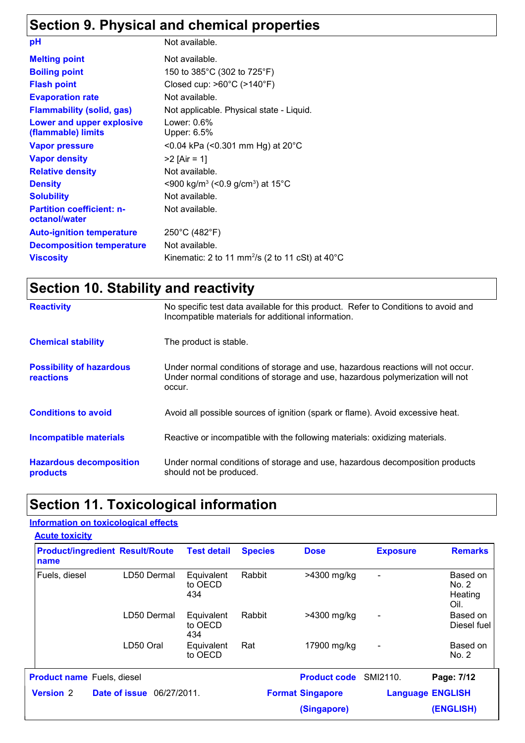## **Section 9. Physical and chemical properties**

| pH                                                | Not available.                                                                     |
|---------------------------------------------------|------------------------------------------------------------------------------------|
| <b>Melting point</b>                              | Not available.                                                                     |
| <b>Boiling point</b>                              | 150 to 385°C (302 to 725°F)                                                        |
| <b>Flash point</b>                                | Closed cup: $>60^{\circ}$ C ( $>140^{\circ}$ F)                                    |
| <b>Evaporation rate</b>                           | Not available.                                                                     |
| <b>Flammability (solid, gas)</b>                  | Not applicable. Physical state - Liquid.                                           |
| Lower and upper explosive<br>(flammable) limits   | Lower: $0.6\%$<br>Upper: 6.5%                                                      |
| <b>Vapor pressure</b>                             | <0.04 kPa (<0.301 mm Hg) at $20^{\circ}$ C                                         |
| <b>Vapor density</b>                              | $>2$ [Air = 1]                                                                     |
| <b>Relative density</b>                           | Not available.                                                                     |
| <b>Density</b>                                    | $\leq$ 900 kg/m <sup>3</sup> ( $\leq$ 0.9 g/cm <sup>3</sup> ) at 15 <sup>o</sup> C |
| <b>Solubility</b>                                 | Not available.                                                                     |
| <b>Partition coefficient: n-</b><br>octanol/water | Not available.                                                                     |
| <b>Auto-ignition temperature</b>                  | 250°C (482°F)                                                                      |
| <b>Decomposition temperature</b>                  | Not available.                                                                     |
| <b>Viscosity</b>                                  | Kinematic: 2 to 11 mm <sup>2</sup> /s (2 to 11 cSt) at $40^{\circ}$ C              |

## **Section 10. Stability and reactivity**

| <b>Reactivity</b>                                   | No specific test data available for this product. Refer to Conditions to avoid and<br>Incompatible materials for additional information.                                   |
|-----------------------------------------------------|----------------------------------------------------------------------------------------------------------------------------------------------------------------------------|
| <b>Chemical stability</b>                           | The product is stable.                                                                                                                                                     |
| <b>Possibility of hazardous</b><br><b>reactions</b> | Under normal conditions of storage and use, hazardous reactions will not occur.<br>Under normal conditions of storage and use, hazardous polymerization will not<br>occur. |
| <b>Conditions to avoid</b>                          | Avoid all possible sources of ignition (spark or flame). Avoid excessive heat.                                                                                             |
| <b>Incompatible materials</b>                       | Reactive or incompatible with the following materials: oxidizing materials.                                                                                                |
| <b>Hazardous decomposition</b><br>products          | Under normal conditions of storage and use, hazardous decomposition products<br>should not be produced.                                                                    |

## **Section 11. Toxicological information**

#### **Information on toxicological effects**

| name                                                 | <b>Product/ingredient Result/Route</b> | <b>Test detail</b>           | <b>Species</b>          | <b>Dose</b>         | <b>Exposure</b>              | <b>Remarks</b>                       |
|------------------------------------------------------|----------------------------------------|------------------------------|-------------------------|---------------------|------------------------------|--------------------------------------|
| Fuels, diesel                                        | LD50 Dermal                            | Equivalent<br>to OECD<br>434 | Rabbit                  | >4300 mg/kg         | $\qquad \qquad \blacksquare$ | Based on<br>No. 2<br>Heating<br>Oil. |
|                                                      | LD50 Dermal                            | Equivalent<br>to OECD<br>434 | Rabbit                  | >4300 mg/kg         | $\overline{\phantom{a}}$     | Based on<br>Diesel fuel              |
|                                                      | LD50 Oral                              | Equivalent<br>to OECD        | Rat                     | 17900 mg/kg         | $\qquad \qquad \blacksquare$ | Based on<br>No. 2                    |
| <b>Product name</b> Fuels, diesel                    |                                        |                              |                         | <b>Product code</b> | SMI2110.                     | Page: 7/12                           |
| <b>Version 2</b><br><b>Date of issue</b> 06/27/2011. |                                        |                              | <b>Format Singapore</b> |                     | <b>Language ENGLISH</b>      |                                      |
|                                                      |                                        |                              |                         | (Singapore)         |                              | (ENGLISH)                            |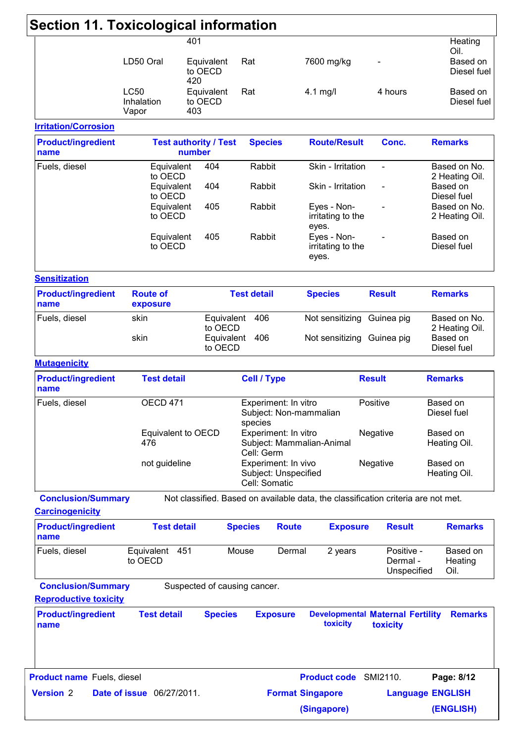| Section 11. Toxicological information |                                           |                                     |                                                              |                                                                                   |                                                     |                                            |
|---------------------------------------|-------------------------------------------|-------------------------------------|--------------------------------------------------------------|-----------------------------------------------------------------------------------|-----------------------------------------------------|--------------------------------------------|
|                                       | 401                                       |                                     |                                                              |                                                                                   |                                                     | Heating<br>Oil.                            |
|                                       | LD50 Oral<br>420                          | Equivalent<br>to OECD               | Rat                                                          | 7600 mg/kg                                                                        |                                                     | Based on<br>Diesel fuel                    |
|                                       | <b>LC50</b><br>Inhalation<br>403<br>Vapor | Equivalent<br>to OECD               | Rat                                                          | $4.1$ mg/l                                                                        | 4 hours                                             | Based on<br>Diesel fuel                    |
| <b>Irritation/Corrosion</b>           |                                           |                                     |                                                              |                                                                                   |                                                     |                                            |
| <b>Product/ingredient</b><br>name     | <b>Test authority / Test</b><br>number    |                                     | <b>Species</b>                                               | <b>Route/Result</b>                                                               | Conc.                                               | <b>Remarks</b>                             |
| Fuels, diesel                         | Equivalent<br>to OECD                     | 404                                 | Rabbit                                                       | Skin - Irritation                                                                 | $\overline{\phantom{a}}$                            | Based on No.<br>2 Heating Oil.             |
|                                       | Equivalent<br>to OECD<br>Equivalent       | 404<br>405                          | Rabbit<br>Rabbit                                             | Skin - Irritation<br>Eyes - Non-                                                  |                                                     | Based on<br>Diesel fuel<br>Based on No.    |
|                                       | to OECD                                   |                                     |                                                              | irritating to the<br>eyes.                                                        |                                                     | 2 Heating Oil.                             |
|                                       | Equivalent<br>to OECD                     | 405                                 | Rabbit                                                       | Eyes - Non-<br>irritating to the<br>eyes.                                         |                                                     | Based on<br>Diesel fuel                    |
| <b>Sensitization</b>                  |                                           |                                     |                                                              |                                                                                   |                                                     |                                            |
| <b>Product/ingredient</b><br>name     | <b>Route of</b><br>exposure               |                                     | <b>Test detail</b>                                           | <b>Species</b>                                                                    | <b>Result</b>                                       | <b>Remarks</b>                             |
| Fuels, diesel                         | skin<br>skin                              | Equivalent<br>to OECD<br>Equivalent | 406<br>406                                                   | Not sensitizing Guinea pig<br>Not sensitizing Guinea pig                          |                                                     | Based on No.<br>2 Heating Oil.<br>Based on |
| <b>Mutagenicity</b>                   |                                           | to OECD                             |                                                              |                                                                                   |                                                     | Diesel fuel                                |
| <b>Product/ingredient</b><br>name     | <b>Test detail</b>                        |                                     | <b>Cell / Type</b>                                           |                                                                                   | <b>Result</b>                                       | <b>Remarks</b>                             |
| Fuels, diesel                         | OECD <sub>471</sub>                       |                                     | Experiment: In vitro                                         | Subject: Non-mammalian                                                            | Positive                                            | Based on<br>Diesel fuel                    |
|                                       | Equivalent to OECD<br>476                 |                                     | species<br>Experiment: In vitro<br>Cell: Germ                | Subject: Mammalian-Animal                                                         | Negative                                            | Based on<br>Heating Oil.                   |
|                                       | not guideline                             |                                     | Experiment: In vivo<br>Subject: Unspecified<br>Cell: Somatic |                                                                                   | Negative                                            | Based on<br>Heating Oil.                   |
| <b>Conclusion/Summary</b>             |                                           |                                     |                                                              | Not classified. Based on available data, the classification criteria are not met. |                                                     |                                            |
| <b>Carcinogenicity</b>                |                                           |                                     |                                                              |                                                                                   |                                                     |                                            |
| <b>Product/ingredient</b><br>name     | <b>Test detail</b>                        |                                     | <b>Species</b>                                               | <b>Route</b><br><b>Exposure</b>                                                   | <b>Result</b>                                       | <b>Remarks</b>                             |
| Fuels, diesel                         | Equivalent 451<br>to OECD                 |                                     | Mouse                                                        | Dermal<br>2 years                                                                 | Positive -<br>Dermal -<br>Unspecified               | Based on<br>Heating<br>Oil.                |
| <b>Conclusion/Summary</b>             |                                           |                                     | Suspected of causing cancer.                                 |                                                                                   |                                                     |                                            |
| <b>Reproductive toxicity</b>          |                                           |                                     |                                                              |                                                                                   |                                                     |                                            |
| <b>Product/ingredient</b><br>name     | <b>Test detail</b>                        | <b>Species</b>                      | <b>Exposure</b>                                              | toxicity                                                                          | <b>Developmental Maternal Fertility</b><br>toxicity | <b>Remarks</b>                             |
| <b>Product name Fuels, diesel</b>     |                                           |                                     |                                                              | Product code SMI2110.                                                             |                                                     | Page: 8/12                                 |
| <b>Version 2</b>                      | <b>Date of issue</b> 06/27/2011.          |                                     |                                                              | <b>Format Singapore</b>                                                           |                                                     | <b>Language ENGLISH</b>                    |
|                                       |                                           |                                     |                                                              |                                                                                   |                                                     |                                            |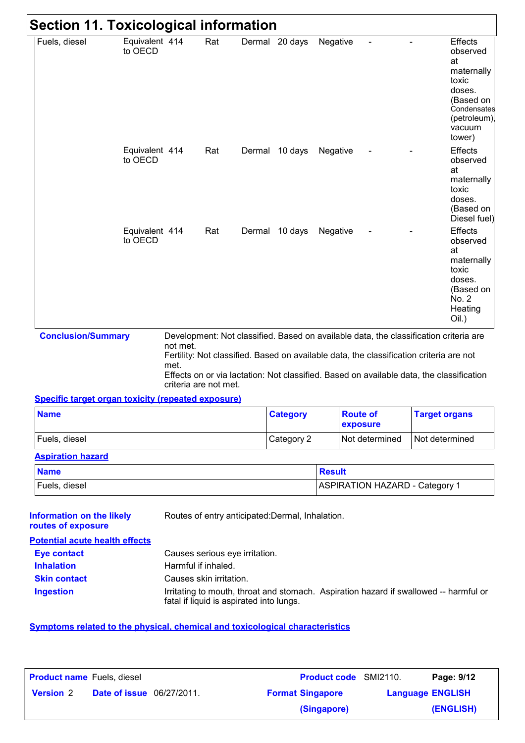| <b>Section 11. Toxicological information</b>                                           |                           |                                                                                       |     |                                |                                                  |               |                                                                                                                                                                                                                                                                              |                      |                                                                                                                           |
|----------------------------------------------------------------------------------------|---------------------------|---------------------------------------------------------------------------------------|-----|--------------------------------|--------------------------------------------------|---------------|------------------------------------------------------------------------------------------------------------------------------------------------------------------------------------------------------------------------------------------------------------------------------|----------------------|---------------------------------------------------------------------------------------------------------------------------|
| Fuels, diesel                                                                          | Equivalent 414<br>to OECD |                                                                                       | Rat |                                | Dermal 20 days                                   | Negative      |                                                                                                                                                                                                                                                                              |                      | Effects<br>observed<br>at<br>maternally<br>toxic<br>doses.<br>(Based on<br>Condensates<br>(petroleum)<br>vacuum<br>tower) |
|                                                                                        | Equivalent 414<br>to OECD |                                                                                       | Rat |                                | Dermal 10 days                                   | Negative      |                                                                                                                                                                                                                                                                              |                      | <b>Effects</b><br>observed<br>at<br>maternally<br>toxic<br>doses.<br>(Based on<br>Diesel fuel)                            |
|                                                                                        | Equivalent 414<br>to OECD |                                                                                       | Rat |                                | Dermal 10 days                                   | Negative      |                                                                                                                                                                                                                                                                              |                      | <b>Effects</b><br>observed<br>at<br>maternally<br>toxic<br>doses.<br>(Based on<br>No. 2<br>Heating<br>$Oil.$ )            |
| <b>Conclusion/Summary</b><br><b>Specific target organ toxicity (repeated exposure)</b> |                           | not met.<br>met.<br>criteria are not met.                                             |     |                                |                                                  |               | Development: Not classified. Based on available data, the classification criteria are<br>Fertility: Not classified. Based on available data, the classification criteria are not<br>Effects on or via lactation: Not classified. Based on available data, the classification |                      |                                                                                                                           |
| <b>Name</b>                                                                            |                           |                                                                                       |     |                                | <b>Category</b>                                  |               | <b>Route of</b>                                                                                                                                                                                                                                                              | <b>Target organs</b> |                                                                                                                           |
|                                                                                        |                           |                                                                                       |     |                                |                                                  |               | exposure                                                                                                                                                                                                                                                                     |                      |                                                                                                                           |
| Fuels, diesel                                                                          |                           |                                                                                       |     |                                | Category 2                                       |               | Not determined                                                                                                                                                                                                                                                               | Not determined       |                                                                                                                           |
| <b>Aspiration hazard</b><br><b>Name</b>                                                |                           |                                                                                       |     |                                |                                                  | <b>Result</b> |                                                                                                                                                                                                                                                                              |                      |                                                                                                                           |
|                                                                                        |                           |                                                                                       |     |                                |                                                  |               |                                                                                                                                                                                                                                                                              |                      |                                                                                                                           |
| Fuels, diesel<br><b>Information on the likely</b>                                      |                           |                                                                                       |     |                                | Routes of entry anticipated: Dermal, Inhalation. |               | <b>ASPIRATION HAZARD - Category 1</b>                                                                                                                                                                                                                                        |                      |                                                                                                                           |
| routes of exposure<br><b>Potential acute health effects</b>                            |                           |                                                                                       |     |                                |                                                  |               |                                                                                                                                                                                                                                                                              |                      |                                                                                                                           |
| <b>Eye contact</b>                                                                     |                           |                                                                                       |     | Causes serious eye irritation. |                                                  |               |                                                                                                                                                                                                                                                                              |                      |                                                                                                                           |
| <b>Inhalation</b>                                                                      |                           | Harmful if inhaled.                                                                   |     |                                |                                                  |               |                                                                                                                                                                                                                                                                              |                      |                                                                                                                           |
| <b>Skin contact</b>                                                                    |                           | Causes skin irritation.                                                               |     |                                |                                                  |               |                                                                                                                                                                                                                                                                              |                      |                                                                                                                           |
| <b>Ingestion</b>                                                                       |                           | Irritating to mouth, throat and stomach. Aspiration hazard if swallowed -- harmful or |     |                                |                                                  |               |                                                                                                                                                                                                                                                                              |                      |                                                                                                                           |

### **Symptoms related to the physical, chemical and toxicological characteristics**

| <b>Product name</b> Fuels, diesel |                                  | <b>Product code</b> SMI2110. |                         | Page: 9/12 |
|-----------------------------------|----------------------------------|------------------------------|-------------------------|------------|
| <b>Version 2</b>                  | <b>Date of issue</b> 06/27/2011. | <b>Format Singapore</b>      | <b>Language ENGLISH</b> |            |
|                                   |                                  | (Singapore)                  |                         | (ENGLISH)  |

fatal if liquid is aspirated into lungs.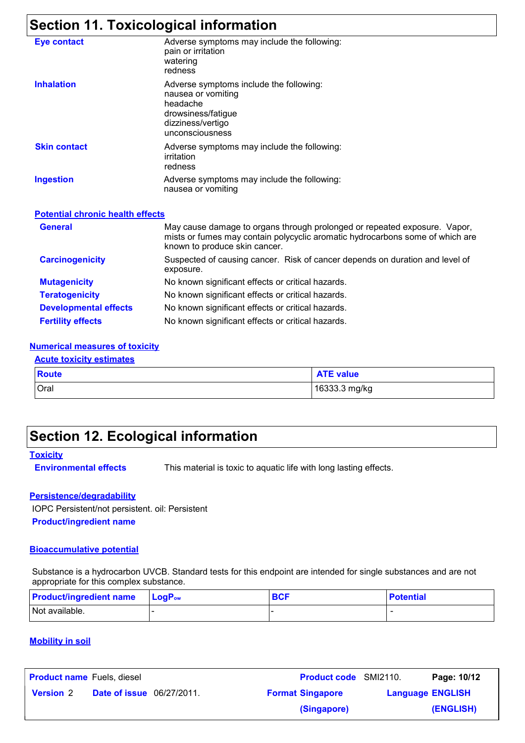## **Section 11. Toxicological information**

| <b>Eye contact</b>                      | Adverse symptoms may include the following:<br>pain or irritation<br>watering<br>redness                                                                                                    |  |  |  |  |
|-----------------------------------------|---------------------------------------------------------------------------------------------------------------------------------------------------------------------------------------------|--|--|--|--|
| <b>Inhalation</b>                       | Adverse symptoms include the following:<br>nausea or vomiting<br>headache<br>drowsiness/fatigue<br>dizziness/vertigo<br>unconsciousness                                                     |  |  |  |  |
| <b>Skin contact</b>                     | Adverse symptoms may include the following:<br>irritation<br>redness                                                                                                                        |  |  |  |  |
| <b>Ingestion</b>                        | Adverse symptoms may include the following:<br>nausea or vomiting                                                                                                                           |  |  |  |  |
| <b>Potential chronic health effects</b> |                                                                                                                                                                                             |  |  |  |  |
| <b>General</b>                          | May cause damage to organs through prolonged or repeated exposure. Vapor,<br>mists or fumes may contain polycyclic aromatic hydrocarbons some of which are<br>known to produce skin cancer. |  |  |  |  |
| <b>Carcinogenicity</b>                  | Suspected of causing cancer. Risk of cancer depends on duration and level of<br>exposure.                                                                                                   |  |  |  |  |
| <b>Mutagenicity</b>                     | No known significant effects or critical hazards.                                                                                                                                           |  |  |  |  |
| <b>Teratogenicity</b>                   | No known significant effects or critical hazards.                                                                                                                                           |  |  |  |  |
| <b>Developmental effects</b>            | No known significant effects or critical hazards.                                                                                                                                           |  |  |  |  |
| <b>Fertility effects</b>                | No known significant effects or critical hazards.                                                                                                                                           |  |  |  |  |

#### **Numerical measures of toxicity**

#### **Acute toxicity estimates**

| <b>Route</b> | <b>ATE value</b> |
|--------------|------------------|
| Oral         | 16333.3 mg/kg    |

### **Section 12. Ecological information**

**Toxicity**

**Environmental effects** This material is toxic to aquatic life with long lasting effects.

#### **Persistence/degradability**

**Product/ingredient name** IOPC Persistent/not persistent. oil: Persistent

#### **Bioaccumulative potential**

Substance is a hydrocarbon UVCB. Standard tests for this endpoint are intended for single substances and are not appropriate for this complex substance.

| <b>Product/ingredient name</b> | $\mathsf{LocP}_\mathsf{ow}$ | <b>BCF</b> | <b>Potential</b> |
|--------------------------------|-----------------------------|------------|------------------|
| Not available.                 |                             |            | -                |

#### **Mobility in soil**

| <b>Product name</b> Fuels, diesel |                                  | <b>Product code</b> SMI2110. | Page: 10/12             |
|-----------------------------------|----------------------------------|------------------------------|-------------------------|
| <b>Version 2</b>                  | <b>Date of issue</b> 06/27/2011. | <b>Format Singapore</b>      | <b>Language ENGLISH</b> |
|                                   |                                  | (Singapore)                  | (ENGLISH)               |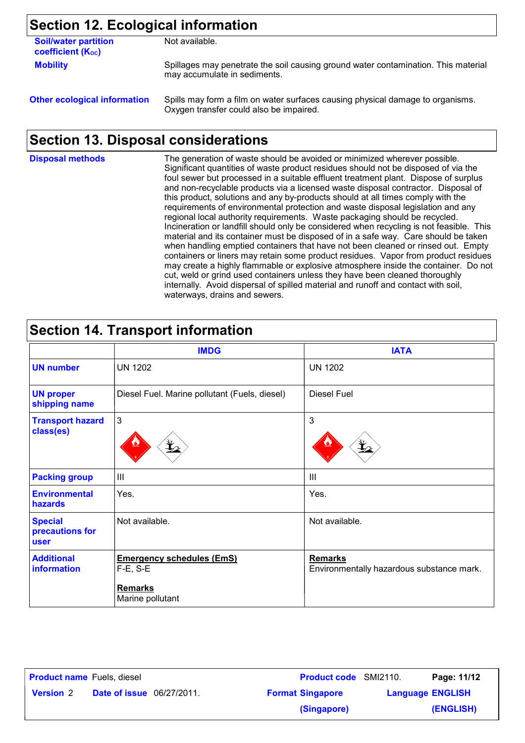## **Section 12. Ecological information**

| <b>Soil/water partition</b><br>coefficient (K <sub>oc</sub> ) | Not available.                                                                                                            |
|---------------------------------------------------------------|---------------------------------------------------------------------------------------------------------------------------|
| <b>Mobility</b>                                               | Spillages may penetrate the soil causing ground water contamination. This material<br>may accumulate in sediments.        |
| <b>Other ecological information</b>                           | Spills may form a film on water surfaces causing physical damage to organisms.<br>Oxygen transfer could also be impaired. |

## **Section 13. Disposal considerations**

| <b>Disposal methods</b> | The generation of waste should be avoided or minimized wherever possible.<br>Significant quantities of waste product residues should not be disposed of via the<br>foul sewer but processed in a suitable effluent treatment plant. Dispose of surplus<br>and non-recyclable products via a licensed waste disposal contractor. Disposal of<br>this product, solutions and any by-products should at all times comply with the<br>requirements of environmental protection and waste disposal legislation and any<br>regional local authority requirements. Waste packaging should be recycled.<br>Incineration or landfill should only be considered when recycling is not feasible. This<br>material and its container must be disposed of in a safe way. Care should be taken<br>when handling emptied containers that have not been cleaned or rinsed out. Empty<br>containers or liners may retain some product residues. Vapor from product residues<br>may create a highly flammable or explosive atmosphere inside the container. Do not<br>cut, weld or grind used containers unless they have been cleaned thoroughly<br>internally. Avoid dispersal of spilled material and runoff and contact with soil, |
|-------------------------|----------------------------------------------------------------------------------------------------------------------------------------------------------------------------------------------------------------------------------------------------------------------------------------------------------------------------------------------------------------------------------------------------------------------------------------------------------------------------------------------------------------------------------------------------------------------------------------------------------------------------------------------------------------------------------------------------------------------------------------------------------------------------------------------------------------------------------------------------------------------------------------------------------------------------------------------------------------------------------------------------------------------------------------------------------------------------------------------------------------------------------------------------------------------------------------------------------------------|
|                         | waterways, drains and sewers.                                                                                                                                                                                                                                                                                                                                                                                                                                                                                                                                                                                                                                                                                                                                                                                                                                                                                                                                                                                                                                                                                                                                                                                        |

## **Section 14. Transport information**

|                                           | <b>IMDG</b>                                       | <b>IATA</b>                                                 |
|-------------------------------------------|---------------------------------------------------|-------------------------------------------------------------|
| <b>UN number</b>                          | <b>UN 1202</b>                                    | <b>UN 1202</b>                                              |
| <b>UN proper</b><br>shipping name         | Diesel Fuel. Marine pollutant (Fuels, diesel)     | Diesel Fuel                                                 |
| <b>Transport hazard</b><br>class(es)      | $\mathbf{3}$                                      | 3                                                           |
| <b>Packing group</b>                      | $\mathbf{III}$                                    | III                                                         |
| <b>Environmental</b><br>hazards           | Yes.                                              | Yes.                                                        |
| <b>Special</b><br>precautions for<br>user | Not available.                                    | Not available.                                              |
| <b>Additional</b><br>information          | <b>Emergency schedules (EmS)</b><br>$F-E$ , $S-E$ | <b>Remarks</b><br>Environmentally hazardous substance mark. |
|                                           | <b>Remarks</b><br>Marine pollutant                |                                                             |

| <b>Product name</b> Fuels, diesel |                                  | <b>Product code</b> SMI2110. |                         | Page: 11/12 |
|-----------------------------------|----------------------------------|------------------------------|-------------------------|-------------|
| <b>Version 2</b>                  | <b>Date of issue</b> 06/27/2011. | <b>Format Singapore</b>      | <b>Language ENGLISH</b> |             |
|                                   |                                  | (Singapore)                  |                         | (ENGLISH)   |